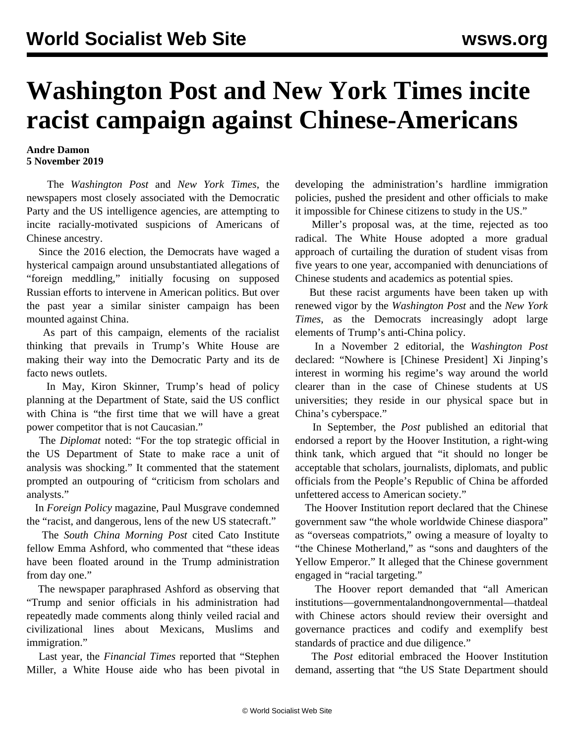## **Washington Post and New York Times incite racist campaign against Chinese-Americans**

## **Andre Damon 5 November 2019**

 The *Washington Post* and *New York Times*, the newspapers most closely associated with the Democratic Party and the US intelligence agencies, are attempting to incite racially-motivated suspicions of Americans of Chinese ancestry.

 Since the 2016 election, the Democrats have waged a hysterical campaign around unsubstantiated allegations of "foreign meddling," initially focusing on supposed Russian efforts to intervene in American politics. But over the past year a similar sinister campaign has been mounted against China.

 As part of this campaign, elements of the racialist thinking that prevails in Trump's White House are making their way into the Democratic Party and its de facto news outlets.

 In May, Kiron Skinner, Trump's head of policy planning at the Department of State, said the US conflict with China is "the first time that we will have a great power competitor that is not Caucasian."

 The *Diplomat* noted: "For the top strategic official in the US Department of State to make race a unit of analysis was shocking." It commented that the statement prompted an outpouring of "criticism from scholars and analysts."

 In *Foreign Policy* magazine, Paul Musgrave condemned the "racist, and dangerous, lens of the new US statecraft."

 The *South China Morning Post* cited Cato Institute fellow Emma Ashford, who commented that "these ideas have been floated around in the Trump administration from day one."

 The newspaper paraphrased Ashford as observing that "Trump and senior officials in his administration had repeatedly made comments along thinly veiled racial and civilizational lines about Mexicans, Muslims and immigration."

 Last year, the *Financial Times* reported that "Stephen Miller, a White House aide who has been pivotal in developing the administration's hardline immigration policies, pushed the president and other officials to make it impossible for Chinese citizens to study in the US."

 Miller's proposal was, at the time, rejected as too radical. The White House adopted a more gradual approach of curtailing the duration of student visas from five years to one year, accompanied with denunciations of Chinese students and academics as potential spies.

 But these racist arguments have been taken up with renewed vigor by the *Washington Post* and the *New York Times*, as the Democrats increasingly adopt large elements of Trump's anti-China policy.

 In a November 2 editorial, the *Washington Post* declared: "Nowhere is [Chinese President] Xi Jinping's interest in worming his regime's way around the world clearer than in the case of Chinese students at US universities; they reside in our physical space but in China's cyberspace."

 In September, the *Post* published an editorial that endorsed a report by the Hoover Institution, a right-wing think tank, which argued that "it should no longer be acceptable that scholars, journalists, diplomats, and public officials from the People's Republic of China be afforded unfettered access to American society."

 The Hoover Institution report declared that the Chinese government saw "the whole worldwide Chinese diaspora" as "overseas compatriots," owing a measure of loyalty to "the Chinese Motherland," as "sons and daughters of the Yellow Emperor." It alleged that the Chinese government engaged in "racial targeting."

 The Hoover report demanded that "all American institutions—governmental and nongovernmental—that deal with Chinese actors should review their oversight and governance practices and codify and exemplify best standards of practice and due diligence."

 The *Post* editorial embraced the Hoover Institution demand, asserting that "the US State Department should